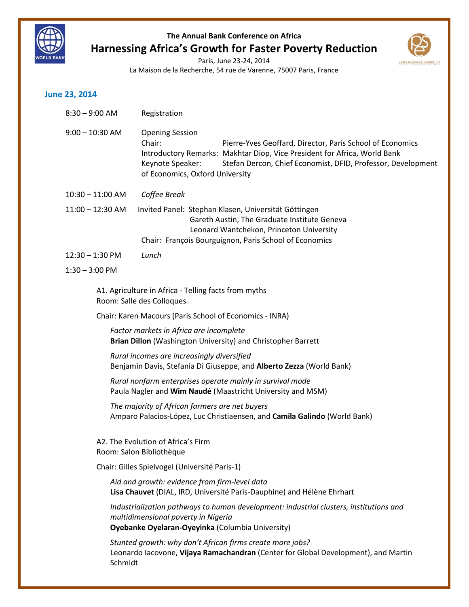





### **June 23, 2014**

| $8:30 - 9:00$ AM   | Registration                                                                                                                                                                                                                                                                                      |
|--------------------|---------------------------------------------------------------------------------------------------------------------------------------------------------------------------------------------------------------------------------------------------------------------------------------------------|
| $9:00 - 10:30$ AM  | <b>Opening Session</b><br>Chair:<br>Pierre-Yves Geoffard, Director, Paris School of Economics<br>Introductory Remarks: Makhtar Diop, Vice President for Africa, World Bank<br>Keynote Speaker:<br>Stefan Dercon, Chief Economist, DFID, Professor, Development<br>of Economics, Oxford University |
| $10:30 - 11:00$ AM | Coffee Break                                                                                                                                                                                                                                                                                      |
| $11:00 - 12:30$ AM | Invited Panel: Stephan Klasen, Universität Göttingen<br>Gareth Austin, The Graduate Institute Geneva<br>Leonard Wantchekon, Princeton University<br>Chair: François Bourguignon, Paris School of Economics                                                                                        |
| $12:30 - 1:30$ PM  | Lunch                                                                                                                                                                                                                                                                                             |
| $1:30 - 3:00$ PM   |                                                                                                                                                                                                                                                                                                   |
|                    | A1. Agriculture in Africa - Telling facts from myths<br>Room: Salle des Colloques                                                                                                                                                                                                                 |
|                    | Chair: Karen Macours (Paris School of Economics - INRA)                                                                                                                                                                                                                                           |
|                    | Factor markets in Africa are incomplete<br>Brian Dillon (Washington University) and Christopher Barrett                                                                                                                                                                                           |
|                    | Rural incomes are increasingly diversified<br>Benjamin Davis, Stefania Di Giuseppe, and Alberto Zezza (World Bank)                                                                                                                                                                                |
|                    | Rural nonfarm enterprises operate mainly in survival mode<br>Paula Nagler and Wim Naudé (Maastricht University and MSM)                                                                                                                                                                           |
|                    | The majority of African farmers are net buyers<br>Amparo Palacios-López, Luc Christiaensen, and Camila Galindo (World Bank)                                                                                                                                                                       |
|                    | A2. The Evolution of Africa's Firm<br>Room: Salon Bibliothèque                                                                                                                                                                                                                                    |
|                    | Chair: Gilles Spielvogel (Université Paris-1)                                                                                                                                                                                                                                                     |
|                    | Aid and growth: evidence from firm-level data<br>Lisa Chauvet (DIAL, IRD, Université Paris-Dauphine) and Hélène Ehrhart                                                                                                                                                                           |
|                    | Industrialization pathways to human development: industrial clusters, institutions and<br>multidimensional poverty in Nigeria<br>Oyebanke Oyelaran-Oyeyinka (Columbia University)                                                                                                                 |
| Schmidt            | Stunted growth: why don't African firms create more jobs?<br>Leonardo Iacovone, Vijaya Ramachandran (Center for Global Development), and Martin                                                                                                                                                   |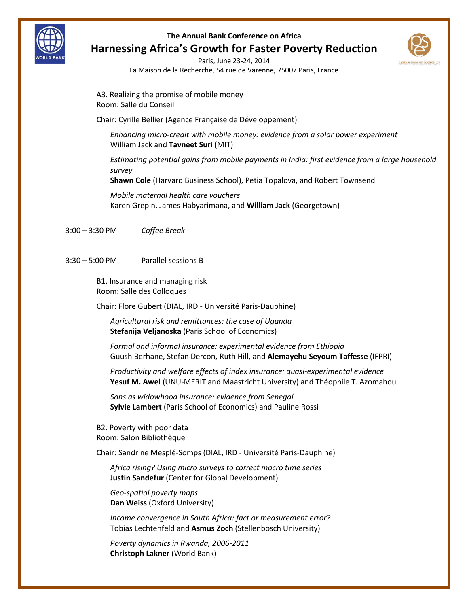



Paris, June 23-24, 2014 La Maison de la Recherche, 54 rue de Varenne, 75007 Paris, France

A3. Realizing the promise of mobile money Room: Salle du Conseil

Chair: Cyrille Bellier (Agence Française de Développement)

*Enhancing micro-credit with mobile money: evidence from a solar power experiment* William Jack and **Tavneet Suri** (MIT)

*Estimating potential gains from mobile payments in India: first evidence from a large household survey*

**Shawn Cole** (Harvard Business School), Petia Topalova, and Robert Townsend

*Mobile maternal health care vouchers* Karen Grepin, James Habyarimana, and **William Jack** (Georgetown)

3:00 – 3:30 PM *Coffee Break*

3:30 – 5:00 PM Parallel sessions B

B1. Insurance and managing risk Room: Salle des Colloques

Chair: Flore Gubert (DIAL, IRD - Université Paris-Dauphine)

*Agricultural risk and remittances: the case of Uganda* **Stefanija Veljanoska** (Paris School of Economics)

*Formal and informal insurance: experimental evidence from Ethiopia* Guush Berhane, Stefan Dercon, Ruth Hill, and **Alemayehu Seyoum Taffesse** (IFPRI)

*Productivity and welfare effects of index insurance: quasi-experimental evidence* **Yesuf M. Awel** (UNU-MERIT and Maastricht University) and Théophile T. Azomahou

*Sons as widowhood insurance: evidence from Senegal* **Sylvie Lambert** (Paris School of Economics) and Pauline Rossi

B2. Poverty with poor data Room: Salon Bibliothèque

Chair: Sandrine Mesplé-Somps (DIAL, IRD - Université Paris-Dauphine)

*Africa rising? Using micro surveys to correct macro time series* **Justin Sandefur** (Center for Global Development)

*Geo-spatial poverty maps* **Dan Weiss** (Oxford University)

*Income convergence in South Africa: fact or measurement error?*  Tobias Lechtenfeld and **Asmus Zoch** (Stellenbosch University)

*Poverty dynamics in Rwanda, 2006-2011*  **Christoph Lakner** (World Bank)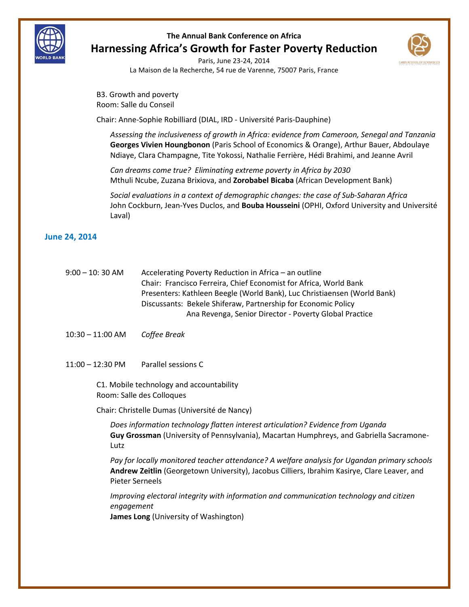



Paris, June 23-24, 2014 La Maison de la Recherche, 54 rue de Varenne, 75007 Paris, France

B3. Growth and poverty Room: Salle du Conseil

Chair: Anne-Sophie Robilliard (DIAL, IRD - Université Paris-Dauphine)

*Assessing the inclusiveness of growth in Africa: evidence from Cameroon, Senegal and Tanzania* **Georges Vivien Houngbonon** (Paris School of Economics & Orange), Arthur Bauer, Abdoulaye Ndiaye, Clara Champagne, Tite Yokossi, Nathalie Ferrière, Hédi Brahimi, and Jeanne Avril

*Can dreams come true? Eliminating extreme poverty in Africa by 2030* Mthuli Ncube, Zuzana Brixiova, and **Zorobabel Bicaba** (African Development Bank)

*Social evaluations in a context of demographic changes: the case of Sub-Saharan Africa* John Cockburn, Jean-Yves Duclos, and **Bouba Housseini** (OPHI, Oxford University and Université Laval)

#### **June 24, 2014**

| 9:00 – 10: 30 AM | Accelerating Poverty Reduction in Africa – an outline                    |
|------------------|--------------------------------------------------------------------------|
|                  | Chair: Francisco Ferreira, Chief Economist for Africa, World Bank        |
|                  | Presenters: Kathleen Beegle (World Bank), Luc Christiaensen (World Bank) |
|                  | Discussants: Bekele Shiferaw, Partnership for Economic Policy            |
|                  | Ana Revenga, Senior Director - Poverty Global Practice                   |

- 10:30 11:00 AM *Coffee Break*
- 11:00 12:30 PM Parallel sessions C

 C1. Mobile technology and accountability Room: Salle des Colloques

Chair: Christelle Dumas (Université de Nancy)

*Does information technology flatten interest articulation? Evidence from Uganda* **Guy Grossman** (University of Pennsylvania), Macartan Humphreys, and Gabriella Sacramone-Lutz

*Pay for locally monitored teacher attendance? A welfare analysis for Ugandan primary schools* **Andrew Zeitlin** (Georgetown University), Jacobus Cilliers, Ibrahim Kasirye, Clare Leaver, and Pieter Serneels

*Improving electoral integrity with information and communication technology and citizen engagement*

**James Long** (University of Washington)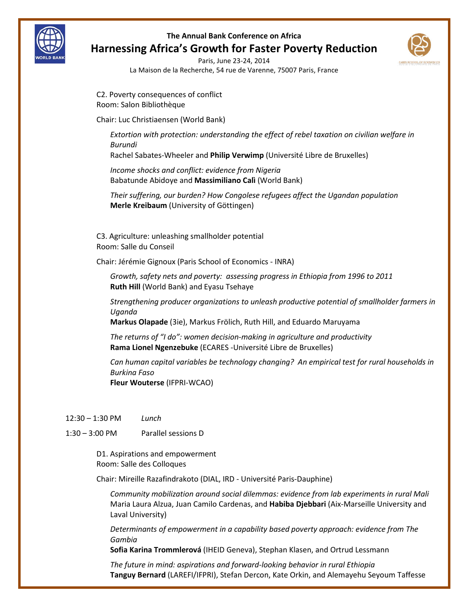



Paris, June 23-24, 2014 La Maison de la Recherche, 54 rue de Varenne, 75007 Paris, France

C2. Poverty consequences of conflict Room: Salon Bibliothèque

Chair: Luc Christiaensen (World Bank)

*Extortion with protection: understanding the effect of rebel taxation on civilian welfare in Burundi*

Rachel Sabates-Wheeler and **Philip Verwimp** (Université Libre de Bruxelles)

*Income shocks and conflict: evidence from Nigeria* Babatunde Abidoye and **Massimiliano Calì** (World Bank)

*Their suffering, our burden? How Congolese refugees affect the Ugandan population* **Merle Kreibaum** (University of Göttingen)

C3. Agriculture: unleashing smallholder potential Room: Salle du Conseil

Chair: Jérémie Gignoux (Paris School of Economics - INRA)

*Growth, safety nets and poverty: assessing progress in Ethiopia from 1996 to 2011* **Ruth Hill** (World Bank) and Eyasu Tsehaye

*Strengthening producer organizations to unleash productive potential of smallholder farmers in Uganda*

**Markus Olapade** (3ie), Markus Frölich, Ruth Hill, and Eduardo Maruyama

*The returns of "I do": women decision-making in agriculture and productivity* **Rama Lionel Ngenzebuke** (ECARES -Université Libre de Bruxelles)

*Can human capital variables be technology changing? An empirical test for rural households in Burkina Faso* **Fleur Wouterse** (IFPRI-WCAO)

12:30 – 1:30 PM *Lunch*

 $\overline{a}$ 

1:30 – 3:00 PM Parallel sessions D

D1. Aspirations and empowerment Room: Salle des Colloques

Chair: Mireille Razafindrakoto (DIAL, IRD - Université Paris-Dauphine)

*Community mobilization around social dilemmas: evidence from lab experiments in rural Mali* Maria Laura Alzua, Juan Camilo Cardenas, and **Habiba Djebbari** (Aix-Marseille University and Laval University)

*Determinants of empowerment in a capability based poverty approach: evidence from The Gambia*

**Sofia Karina Trommlerová** (IHEID Geneva), Stephan Klasen, and Ortrud Lessmann

*The future in mind: aspirations and forward-looking behavior in rural Ethiopia* **Tanguy Bernard** (LAREFI/IFPRI), Stefan Dercon, Kate Orkin, and Alemayehu Seyoum Taffesse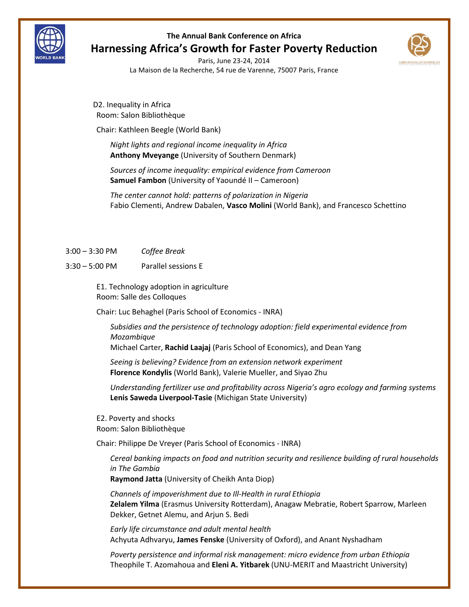



Paris, June 23-24, 2014 La Maison de la Recherche, 54 rue de Varenne, 75007 Paris, France

D2. Inequality in Africa Room: Salon Bibliothèque

Chair: Kathleen Beegle (World Bank)

*Night lights and regional income inequality in Africa* **Anthony Mveyange** (University of Southern Denmark)

*Sources of income inequality: empirical evidence from Cameroon* **Samuel Fambon** (University of Yaoundé II – Cameroon)

*The center cannot hold: patterns of polarization in Nigeria* Fabio Clementi, Andrew Dabalen, **Vasco Molini** (World Bank), and Francesco Schettino

3:00 – 3:30 PM *Coffee Break*

3:30 – 5:00 PM Parallel sessions E

E1. Technology adoption in agriculture Room: Salle des Colloques

Chair: Luc Behaghel (Paris School of Economics - INRA)

*Subsidies and the persistence of technology adoption: field experimental evidence from Mozambique*

Michael Carter, **Rachid Laajaj** (Paris School of Economics), and Dean Yang

*Seeing is believing? Evidence from an extension network experiment* **Florence Kondylis** (World Bank), Valerie Mueller, and Siyao Zhu

*Understanding fertilizer use and profitability across Nigeria's agro ecology and farming systems* **Lenis Saweda Liverpool-Tasie** (Michigan State University)

E2. Poverty and shocks Room: Salon Bibliothèque

Chair: Philippe De Vreyer (Paris School of Economics - INRA)

*Cereal banking impacts on food and nutrition security and resilience building of rural households in The Gambia*

**Raymond Jatta** (University of Cheikh Anta Diop)

*Channels of impoverishment due to Ill-Health in rural Ethiopia* **Zelalem Yilma** (Erasmus University Rotterdam), Anagaw Mebratie, Robert Sparrow, Marleen Dekker, Getnet Alemu, and Arjun S. Bedi

*Early life circumstance and adult mental health* Achyuta Adhvaryu, **James Fenske** (University of Oxford), and Anant Nyshadham

*Poverty persistence and informal risk management: micro evidence from urban Ethiopia* Theophile T. Azomahoua and **Eleni A. Yitbarek** (UNU-MERIT and Maastricht University)